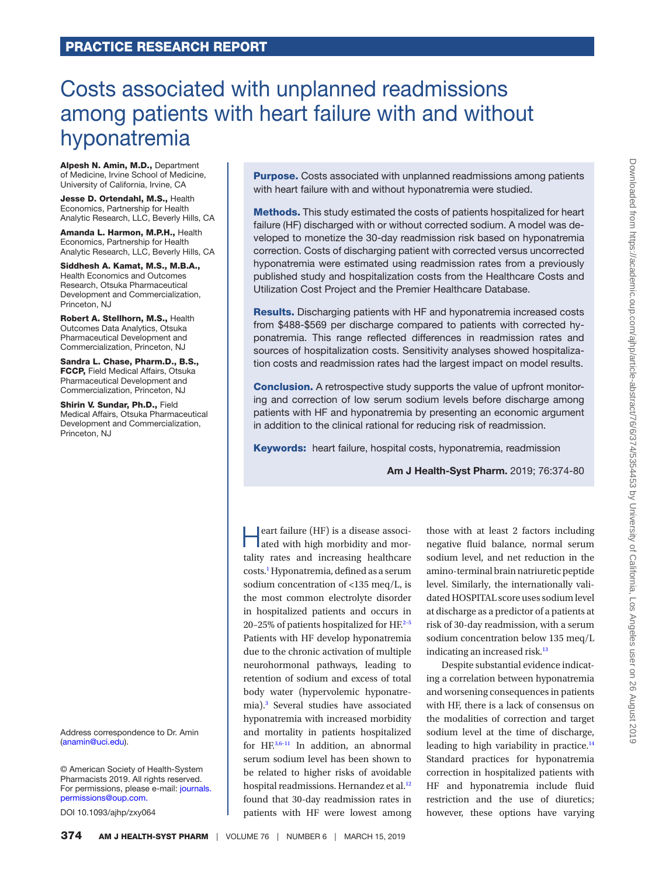# Costs associated with unplanned readmissions among patients with heart failure with and without hyponatremia

Alpesh N. Amin, M.D., Department of Medicine, Irvine School of Medicine, University of California, Irvine, CA

Jesse D. Ortendahl. M.S., Health Economics, Partnership for Health Analytic Research, LLC, Beverly Hills, CA

Amanda L. Harmon, M.P.H., Health Economics, Partnership for Health Analytic Research, LLC, Beverly Hills, CA

Siddhesh A. Kamat, M.S., M.B.A., Health Economics and Outcomes Research, Otsuka Pharmaceutical Development and Commercialization, Princeton, NJ

Robert A. Stellhorn, M.S., Health Outcomes Data Analytics, Otsuka Pharmaceutical Development and Commercialization, Princeton, NJ

Sandra L. Chase, Pharm.D., B.S., FCCP, Field Medical Affairs, Otsuka Pharmaceutical Development and Commercialization, Princeton, NJ

Shirin V. Sundar, Ph.D., Field Medical Affairs, Otsuka Pharmaceutical Development and Commercialization, Princeton, NJ

Address correspondence to Dr. Amin ([anamin@uci.edu\)](mailto:anamin@uci.edu?subject=).

© American Society of Health-System Pharmacists 2019. All rights reserved. For permissions, please e-mail: journals. permissions@oup.com.

DOI 10.1093/ajhp/zxy064

**Purpose.** Costs associated with unplanned readmissions among patients with heart failure with and without hyponatremia were studied.

Methods. This study estimated the costs of patients hospitalized for heart failure (HF) discharged with or without corrected sodium. A model was developed to monetize the 30-day readmission risk based on hyponatremia correction. Costs of discharging patient with corrected versus uncorrected hyponatremia were estimated using readmission rates from a previously published study and hospitalization costs from the Healthcare Costs and Utilization Cost Project and the Premier Healthcare Database.

Results. Discharging patients with HF and hyponatremia increased costs from \$488-\$569 per discharge compared to patients with corrected hyponatremia. This range reflected differences in readmission rates and sources of hospitalization costs. Sensitivity analyses showed hospitalization costs and readmission rates had the largest impact on model results.

Conclusion. A retrospective study supports the value of upfront monitoring and correction of low serum sodium levels before discharge among patients with HF and hyponatremia by presenting an economic argument in addition to the clinical rational for reducing risk of readmission.

Keywords: heart failure, hospital costs, hyponatremia, readmission

Am J Health-Syst Pharm. 2019; 76:374-80

Heart failure (HF) is a disease associ-ated with high morbidity and mortality rates and increasing healthcare costs.<sup>1</sup> Hyponatremia, defined as a serum sodium concentration of <135 meq/L, is the most common electrolyte disorder in hospitalized patients and occurs in 20–25% of patients hospitalized for HF.<sup>2–5</sup> Patients with HF develop hyponatremia due to the chronic activation of multiple neurohormonal pathways, leading to retention of sodium and excess of total body water (hypervolemic hyponatremia)[.3](#page-6-1) Several studies have associated hyponatremia with increased morbidity and mortality in patients hospitalized for  $HF^{3,6-11}$  $HF^{3,6-11}$  $HF^{3,6-11}$  In addition, an abnormal serum sodium level has been shown to be related to higher risks of avoidable hospital readmissions. Hernandez et al.<sup>12</sup> found that 30-day readmission rates in patients with HF were lowest among

those with at least 2 factors including negative fluid balance, normal serum sodium level, and net reduction in the amino-terminal brain natriuretic peptide level. Similarly, the internationally validated HOSPITAL score uses sodium level at discharge as a predictor of a patients at risk of 30-day readmission, with a serum sodium concentration below 135 meq/L indicating an increased risk.<sup>[13](#page-6-3)</sup>

Despite substantial evidence indicating a correlation between hyponatremia and worsening consequences in patients with HF, there is a lack of consensus on the modalities of correction and target sodium level at the time of discharge, leading to high variability in practice.<sup>[14](#page-6-4)</sup> Standard practices for hyponatremia correction in hospitalized patients with HF and hyponatremia include fluid restriction and the use of diuretics; however, these options have varying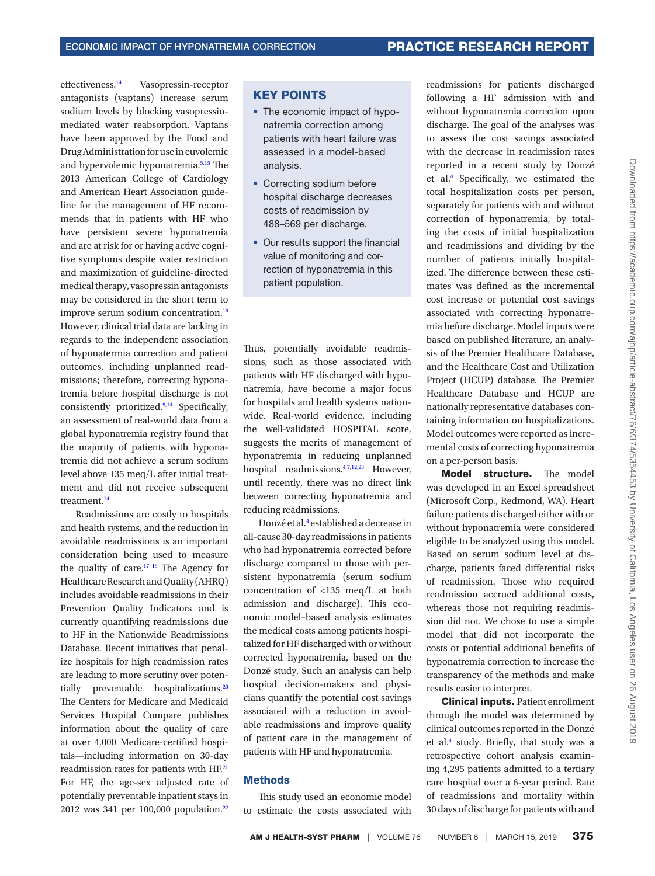effectiveness.[14](#page-6-4) Vasopressin-receptor antagonists (vaptans) increase serum sodium levels by blocking vasopressinmediated water reabsorption. Vaptans have been approved by the Food and Drug Administration for use in euvolemic and hypervolemic hyponatremia.[5](#page-6-5),[15](#page-6-6) The 2013 American College of Cardiology and American Heart Association guideline for the management of HF recommends that in patients with HF who have persistent severe hyponatremia and are at risk for or having active cognitive symptoms despite water restriction and maximization of guideline-directed medical therapy, vasopressin antagonists may be considered in the short term to improve serum sodium concentration.<sup>[16](#page-6-7)</sup> However, clinical trial data are lacking in regards to the independent association of hyponatermia correction and patient outcomes, including unplanned readmissions; therefore, correcting hyponatremia before hospital discharge is not consistently prioritized. $9,14$  $9,14$  Specifically, an assessment of real-world data from a global hyponatremia registry found that the majority of patients with hyponatremia did not achieve a serum sodium level above 135 meq/L after initial treatment and did not receive subsequent treatment.<sup>[14](#page-6-4)</sup>

Readmissions are costly to hospitals and health systems, and the reduction in avoidable readmissions is an important consideration being used to measure the quality of care. $17-19$  The Agency for Healthcare Research and Quality (AHRQ) includes avoidable readmissions in their Prevention Quality Indicators and is currently quantifying readmissions due to HF in the Nationwide Readmissions Database. Recent initiatives that penalize hospitals for high readmission rates are leading to more scrutiny over poten-tially preventable hospitalizations.<sup>[20](#page-6-9)</sup> The Centers for Medicare and Medicaid Services Hospital Compare publishes information about the quality of care at over 4,000 Medicare-certified hospitals—including information on 30-day readmission rates for patients with HF.[21](#page-6-10) For HF, the age-sex adjusted rate of potentially preventable inpatient stays in 2012 was 341 per 100,000 population.[22](#page-6-11)

## KEY POINTS

- The economic impact of hyponatremia correction among patients with heart failure was assessed in a model-based analysis.
- Correcting sodium before hospital discharge decreases costs of readmission by 488–569 per discharge.
- Our results support the financial value of monitoring and correction of hyponatremia in this patient population.

Thus, potentially avoidable readmissions, such as those associated with patients with HF discharged with hyponatremia, have become a major focus for hospitals and health systems nationwide. Real-world evidence, including the well-validated HOSPITAL score, suggests the merits of management of hyponatremia in reducing unplanned hospital readmissions.<sup>4[,7,](#page-6-13)[12](#page-6-2)[,23](#page-6-14)</sup> However, until recently, there was no direct link between correcting hyponatremia and reducing readmissions.

Donzé et al.[4](#page-6-12) established a decrease in all-cause 30-day readmissions in patients who had hyponatremia corrected before discharge compared to those with persistent hyponatremia (serum sodium concentration of <135 meq/L at both admission and discharge). This economic model–based analysis estimates the medical costs among patients hospitalized for HF discharged with or without corrected hyponatremia, based on the Donzé study. Such an analysis can help hospital decision-makers and physicians quantify the potential cost savings associated with a reduction in avoidable readmissions and improve quality of patient care in the management of patients with HF and hyponatremia.

## **Methods**

This study used an economic model to estimate the costs associated with

readmissions for patients discharged following a HF admission with and without hyponatremia correction upon discharge. The goal of the analyses was to assess the cost savings associated with the decrease in readmission rates reported in a recent study by Donzé et al[.4](#page-6-12) Specifically, we estimated the total hospitalization costs per person, separately for patients with and without correction of hyponatremia, by totaling the costs of initial hospitalization and readmissions and dividing by the number of patients initially hospitalized. The difference between these estimates was defined as the incremental cost increase or potential cost savings associated with correcting hyponatremia before discharge. Model inputs were based on published literature, an analysis of the Premier Healthcare Database, and the Healthcare Cost and Utilization Project (HCUP) database. The Premier Healthcare Database and HCUP are nationally representative databases containing information on hospitalizations. Model outcomes were reported as incremental costs of correcting hyponatremia on a per-person basis.

Model structure. The model was developed in an Excel spreadsheet (Microsoft Corp., Redmond, WA). Heart failure patients discharged either with or without hyponatremia were considered eligible to be analyzed using this model. Based on serum sodium level at discharge, patients faced differential risks of readmission. Those who required readmission accrued additional costs, whereas those not requiring readmission did not. We chose to use a simple model that did not incorporate the costs or potential additional benefits of hyponatremia correction to increase the transparency of the methods and make results easier to interpret.

Clinical inputs. Patient enrollment through the model was determined by clinical outcomes reported in the Donzé et al.<sup>4</sup> study. Briefly, that study was a retrospective cohort analysis examining 4,295 patients admitted to a tertiary care hospital over a 6-year period. Rate of readmissions and mortality within 30 days of discharge for patients with and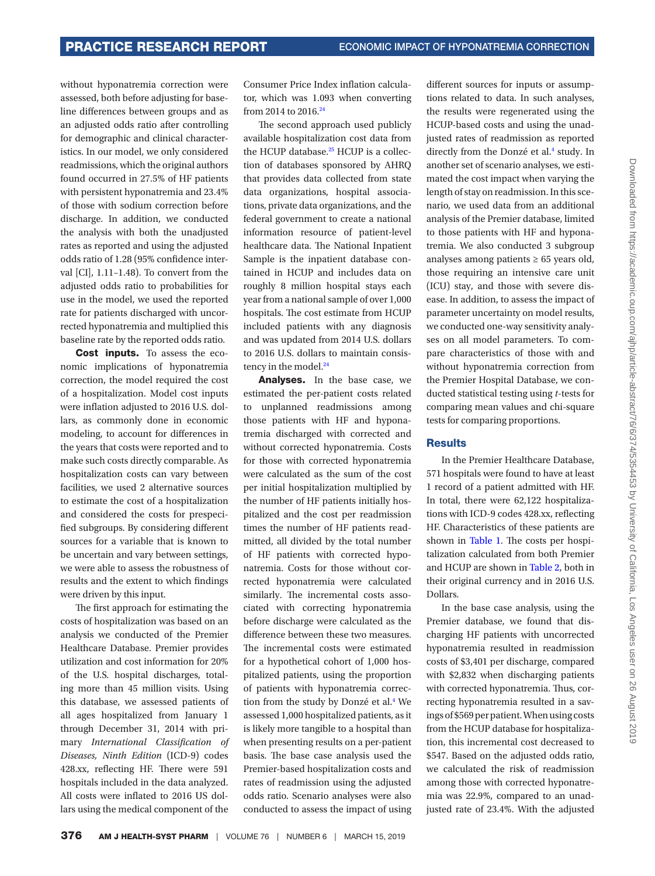without hyponatremia correction were assessed, both before adjusting for baseline differences between groups and as an adjusted odds ratio after controlling for demographic and clinical characteristics. In our model, we only considered readmissions, which the original authors found occurred in 27.5% of HF patients with persistent hyponatremia and 23.4% of those with sodium correction before discharge. In addition, we conducted the analysis with both the unadjusted rates as reported and using the adjusted odds ratio of 1.28 (95% confidence interval [CI], 1.11–1.48). To convert from the adjusted odds ratio to probabilities for use in the model, we used the reported rate for patients discharged with uncorrected hyponatremia and multiplied this baseline rate by the reported odds ratio.

Cost inputs. To assess the economic implications of hyponatremia correction, the model required the cost of a hospitalization. Model cost inputs were inflation adjusted to 2016 U.S. dollars, as commonly done in economic modeling, to account for differences in the years that costs were reported and to make such costs directly comparable. As hospitalization costs can vary between facilities, we used 2 alternative sources to estimate the cost of a hospitalization and considered the costs for prespecified subgroups. By considering different sources for a variable that is known to be uncertain and vary between settings, we were able to assess the robustness of results and the extent to which findings were driven by this input.

The first approach for estimating the costs of hospitalization was based on an analysis we conducted of the Premier Healthcare Database. Premier provides utilization and cost information for 20% of the U.S. hospital discharges, totaling more than 45 million visits. Using this database, we assessed patients of all ages hospitalized from January 1 through December 31, 2014 with primary *International Classification of Diseases, Ninth Edition* (ICD-9) codes 428.xx, reflecting HF. There were 591 hospitals included in the data analyzed. All costs were inflated to 2016 US dollars using the medical component of the

Consumer Price Index inflation calculator, which was 1.093 when converting from 2014 to 2016[.24](#page-6-15)

The second approach used publicly available hospitalization cost data from the HCUP database.<sup>25</sup> HCUP is a collection of databases sponsored by AHRQ that provides data collected from state data organizations, hospital associations, private data organizations, and the federal government to create a national information resource of patient‐level healthcare data. The National Inpatient Sample is the inpatient database contained in HCUP and includes data on roughly 8 million hospital stays each year from a national sample of over 1,000 hospitals. The cost estimate from HCUP included patients with any diagnosis and was updated from 2014 U.S. dollars to 2016 U.S. dollars to maintain consis-tency in the model.<sup>[24](#page-6-15)</sup>

Analyses. In the base case, we estimated the per-patient costs related to unplanned readmissions among those patients with HF and hyponatremia discharged with corrected and without corrected hyponatremia. Costs for those with corrected hyponatremia were calculated as the sum of the cost per initial hospitalization multiplied by the number of HF patients initially hospitalized and the cost per readmission times the number of HF patients readmitted, all divided by the total number of HF patients with corrected hyponatremia. Costs for those without corrected hyponatremia were calculated similarly. The incremental costs associated with correcting hyponatremia before discharge were calculated as the difference between these two measures. The incremental costs were estimated for a hypothetical cohort of 1,000 hospitalized patients, using the proportion of patients with hyponatremia correc-tion from the study by Donzé et al.<sup>[4](#page-6-12)</sup> We assessed 1,000 hospitalized patients, as it is likely more tangible to a hospital than when presenting results on a per-patient basis. The base case analysis used the Premier-based hospitalization costs and rates of readmission using the adjusted odds ratio. Scenario analyses were also conducted to assess the impact of using

different sources for inputs or assumptions related to data. In such analyses, the results were regenerated using the HCUP-based costs and using the unadjusted rates of readmission as reported directly from the Donzé et al.<sup>[4](#page-6-12)</sup> study. In another set of scenario analyses, we estimated the cost impact when varying the length of stay on readmission. In this scenario, we used data from an additional analysis of the Premier database, limited to those patients with HF and hyponatremia. We also conducted 3 subgroup analyses among patients  $\geq 65$  years old, those requiring an intensive care unit (ICU) stay, and those with severe disease. In addition, to assess the impact of parameter uncertainty on model results, we conducted one-way sensitivity analyses on all model parameters. To compare characteristics of those with and without hyponatremia correction from the Premier Hospital Database, we conducted statistical testing using *t*-tests for comparing mean values and chi-square tests for comparing proportions.

#### **Results**

In the Premier Healthcare Database, 571 hospitals were found to have at least 1 record of a patient admitted with HF. In total, there were 62,122 hospitalizations with ICD-9 codes 428.xx, reflecting HF. Characteristics of these patients are shown in [Table 1](#page-3-0). The costs per hospitalization calculated from both Premier and HCUP are shown in [Table 2,](#page-3-1) both in their original currency and in 2016 U.S. Dollars.

In the base case analysis, using the Premier database, we found that discharging HF patients with uncorrected hyponatremia resulted in readmission costs of \$3,401 per discharge, compared with \$2,832 when discharging patients with corrected hyponatremia. Thus, correcting hyponatremia resulted in a savings of \$569 per patient. When using costs from the HCUP database for hospitalization, this incremental cost decreased to \$547. Based on the adjusted odds ratio, we calculated the risk of readmission among those with corrected hyponatremia was 22.9%, compared to an unadjusted rate of 23.4%. With the adjusted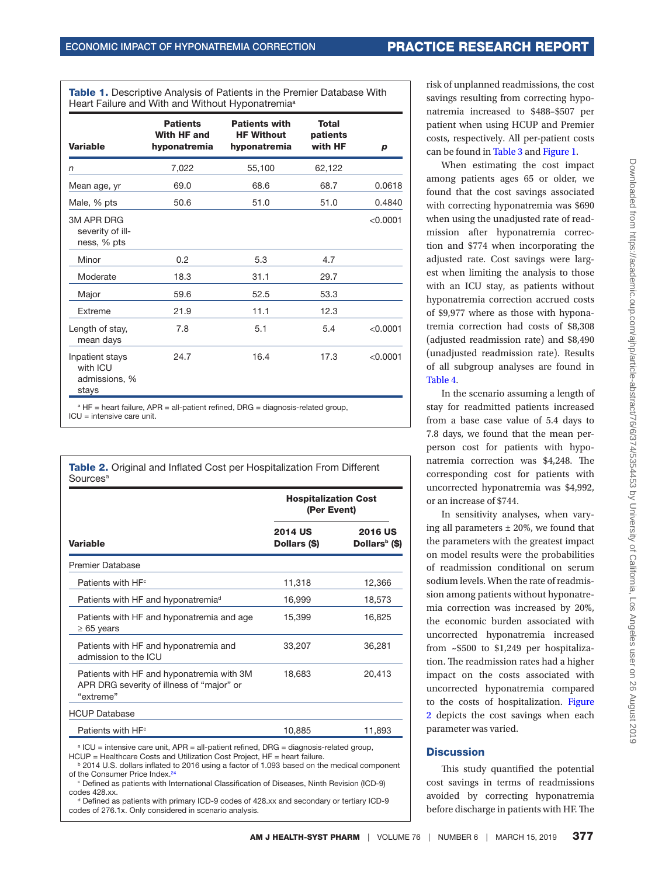<span id="page-3-0"></span>Table 1. Descriptive Analysis of Patients in the Premier Database With Heart Failure and With and Without Hyponatremia<sup>a</sup>

| <b>Variable</b>                                       | <b>Patients</b><br>With HF and<br>hyponatremia | <b>Patients with</b><br><b>HF Without</b><br>hyponatremia | <b>Total</b><br>patients<br>with HF | р        |
|-------------------------------------------------------|------------------------------------------------|-----------------------------------------------------------|-------------------------------------|----------|
| n                                                     | 7,022                                          | 55,100                                                    | 62,122                              |          |
| Mean age, yr                                          | 69.0                                           | 68.6                                                      | 68.7                                | 0.0618   |
| Male, % pts                                           | 50.6                                           | 51.0                                                      | 51.0                                | 0.4840   |
| 3M APR DRG<br>severity of ill-<br>ness, % pts         |                                                |                                                           |                                     | < 0.0001 |
| Minor                                                 | 0.2                                            | 5.3                                                       | 4.7                                 |          |
| Moderate                                              | 18.3                                           | 31.1                                                      | 29.7                                |          |
| Major                                                 | 59.6                                           | 52.5                                                      | 53.3                                |          |
| Extreme                                               | 21.9                                           | 11.1                                                      | 12.3                                |          |
| Length of stay,<br>mean days                          | 7.8                                            | 5.1                                                       | 5.4                                 | < 0.0001 |
| Inpatient stays<br>with ICU<br>admissions, %<br>stays | 24.7                                           | 16.4                                                      | 17.3                                | < 0.0001 |

<sup>a</sup> HF = heart failure, APR = all-patient refined, DRG = diagnosis-related group, ICU = intensive care unit.

<span id="page-3-1"></span>Table 2. Original and Inflated Cost per Hospitalization From Different **Sources<sup>a</sup>** 

|                                                                                                     | <b>Hospitalization Cost</b><br>(Per Event) |                                             |  |
|-----------------------------------------------------------------------------------------------------|--------------------------------------------|---------------------------------------------|--|
| <b>Variable</b>                                                                                     | <b>2014 US</b><br>Dollars (\$)             | <b>2016 US</b><br>Dollars <sup>b</sup> (\$) |  |
| Premier Database                                                                                    |                                            |                                             |  |
| Patients with HF <sup>c</sup>                                                                       | 11,318                                     | 12,366                                      |  |
| Patients with HF and hyponatremia <sup>d</sup>                                                      | 16,999                                     | 18,573                                      |  |
| Patients with HF and hyponatremia and age<br>$\geq 65$ years                                        | 15,399                                     | 16,825                                      |  |
| Patients with HF and hyponatremia and<br>admission to the ICU                                       | 33,207                                     | 36,281                                      |  |
| Patients with HF and hyponatremia with 3M<br>APR DRG severity of illness of "major" or<br>"extreme" | 18,683                                     | 20,413                                      |  |
| <b>HCUP Database</b>                                                                                |                                            |                                             |  |
| Patients with HF <sup>c</sup>                                                                       | 10,885                                     | 11,893                                      |  |

<sup>a</sup> ICU = intensive care unit, APR = all-patient refined, DRG = diagnosis-related group, HCUP = Healthcare Costs and Utilization Cost Project, HF = heart failure.

2014 U.S. dollars inflated to 2016 using a factor of 1.093 based on the medical component of the Consumer Price Index.<sup>2</sup>

c Defined as patients with International Classification of Diseases, Ninth Revision (ICD-9) codes 428.xx.

 $d$  Defined as patients with primary ICD-9 codes of 428.xx and secondary or tertiary ICD-9 codes of 276.1x. Only considered in scenario analysis.

risk of unplanned readmissions, the cost savings resulting from correcting hyponatremia increased to \$488–\$507 per patient when using HCUP and Premier costs, respectively. All per-patient costs can be found in [Table 3](#page-4-0) and [Figure 1.](#page-4-1)

When estimating the cost impact among patients ages 65 or older, we found that the cost savings associated with correcting hyponatremia was \$690 when using the unadjusted rate of readmission after hyponatremia correction and \$774 when incorporating the adjusted rate. Cost savings were largest when limiting the analysis to those with an ICU stay, as patients without hyponatremia correction accrued costs of \$9,977 where as those with hyponatremia correction had costs of \$8,308 (adjusted readmission rate) and \$8,490 (unadjusted readmission rate). Results of all subgroup analyses are found in [Table 4](#page-5-0).

In the scenario assuming a length of stay for readmitted patients increased from a base case value of 5.4 days to 7.8 days, we found that the mean perperson cost for patients with hyponatremia correction was \$4,248. The corresponding cost for patients with uncorrected hyponatremia was \$4,992, or an increase of \$744.

In sensitivity analyses, when varying all parameters  $\pm$  20%, we found that the parameters with the greatest impact on model results were the probabilities of readmission conditional on serum sodium levels. When the rate of readmission among patients without hyponatremia correction was increased by 20%, the economic burden associated with uncorrected hyponatremia increased from ~\$500 to \$1,249 per hospitalization. The readmission rates had a higher impact on the costs associated with uncorrected hyponatremia compared to the costs of hospitalization. [Figure](#page-5-1) [2](#page-5-1) depicts the cost savings when each parameter was varied.

# **Discussion**

This study quantified the potential cost savings in terms of readmissions avoided by correcting hyponatremia before discharge in patients with HF. The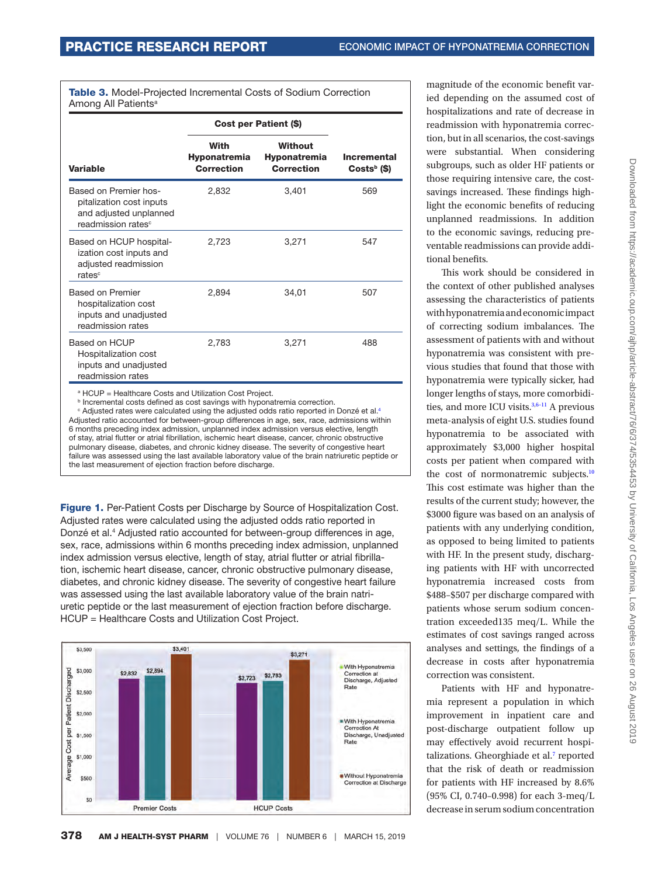<span id="page-4-0"></span>Table 3. Model-Projected Incremental Costs of Sodium Correction Among All Patients<sup>a</sup>

|                                                                                                               | Cost per Patient (\$)                            |                                                            |                                     |
|---------------------------------------------------------------------------------------------------------------|--------------------------------------------------|------------------------------------------------------------|-------------------------------------|
| <b>Variable</b>                                                                                               | With<br><b>Hyponatremia</b><br><b>Correction</b> | <b>Without</b><br><b>Hyponatremia</b><br><b>Correction</b> | <b>Incremental</b><br>$Costsb$ (\$) |
| Based on Premier hos-<br>pitalization cost inputs<br>and adjusted unplanned<br>readmission rates <sup>c</sup> | 2,832                                            | 3,401                                                      | 569                                 |
| Based on HCUP hospital-<br>ization cost inputs and<br>adjusted readmission<br>rates <sup>c</sup>              | 2,723                                            | 3,271                                                      | 547                                 |
| Based on Premier<br>hospitalization cost<br>inputs and unadjusted<br>readmission rates                        | 2,894                                            | 34,01                                                      | 507                                 |
| Based on HCUP<br>Hospitalization cost<br>inputs and unadjusted<br>readmission rates                           | 2,783                                            | 3,271                                                      | 488                                 |

<sup>a</sup> HCUP = Healthcare Costs and Utilization Cost Project.

**b** Incremental costs defined as cost savings with hyponatremia correction.

<sup>c</sup> Adjusted rates were calculated using the adjusted odds ratio reported in Donzé et al.<sup>[4](#page-6-12)</sup> Adjusted ratio accounted for between-group differences in age, sex, race, admissions within 6 months preceding index admission, unplanned index admission versus elective, length of stay, atrial flutter or atrial fibrillation, ischemic heart disease, cancer, chronic obstructive pulmonary disease, diabetes, and chronic kidney disease. The severity of congestive heart failure was assessed using the last available laboratory value of the brain natriuretic peptide or the last measurement of ejection fraction before discharge.

<span id="page-4-1"></span>Figure 1. Per-Patient Costs per Discharge by Source of Hospitalization Cost. Adjusted rates were calculated using the adjusted odds ratio reported in Donzé et al.<sup>4</sup> Adjusted ratio accounted for between-group differences in age, sex, race, admissions within 6 months preceding index admission, unplanned index admission versus elective, length of stay, atrial flutter or atrial fibrillation, ischemic heart disease, cancer, chronic obstructive pulmonary disease, diabetes, and chronic kidney disease. The severity of congestive heart failure was assessed using the last available laboratory value of the brain natriuretic peptide or the last measurement of ejection fraction before discharge. HCUP = Healthcare Costs and Utilization Cost Project.



magnitude of the economic benefit varied depending on the assumed cost of hospitalizations and rate of decrease in readmission with hyponatremia correction, but in all scenarios, the cost-savings were substantial. When considering subgroups, such as older HF patients or those requiring intensive care, the costsavings increased. These findings highlight the economic benefits of reducing unplanned readmissions. In addition to the economic savings, reducing preventable readmissions can provide additional benefits.

This work should be considered in the context of other published analyses assessing the characteristics of patients with hyponatremia and economic impact of correcting sodium imbalances. The assessment of patients with and without hyponatremia was consistent with previous studies that found that those with hyponatremia were typically sicker, had longer lengths of stays, more comorbidi-ties, and more ICU visits.<sup>[3](#page-6-1),6-11</sup> A previous meta-analysis of eight U.S. studies found hyponatremia to be associated with approximately \$3,000 higher hospital costs per patient when compared with the cost of normonatremic subjects.<sup>[10](#page-6-17)</sup> This cost estimate was higher than the results of the current study; however, the \$3000 figure was based on an analysis of patients with any underlying condition, as opposed to being limited to patients with HF. In the present study, discharging patients with HF with uncorrected hyponatremia increased costs from \$488–\$507 per discharge compared with patients whose serum sodium concentration exceeded135 meq/L. While the estimates of cost savings ranged across analyses and settings, the findings of a decrease in costs after hyponatremia correction was consistent.

Patients with HF and hyponatremia represent a population in which improvement in inpatient care and post-discharge outpatient follow up may effectively avoid recurrent hospi-talizations. Gheorghiade et al.<sup>[7](#page-6-13)</sup> reported that the risk of death or readmission for patients with HF increased by 8.6% (95% CI, 0.740–0.998) for each 3-meq/L decrease in serum sodium concentration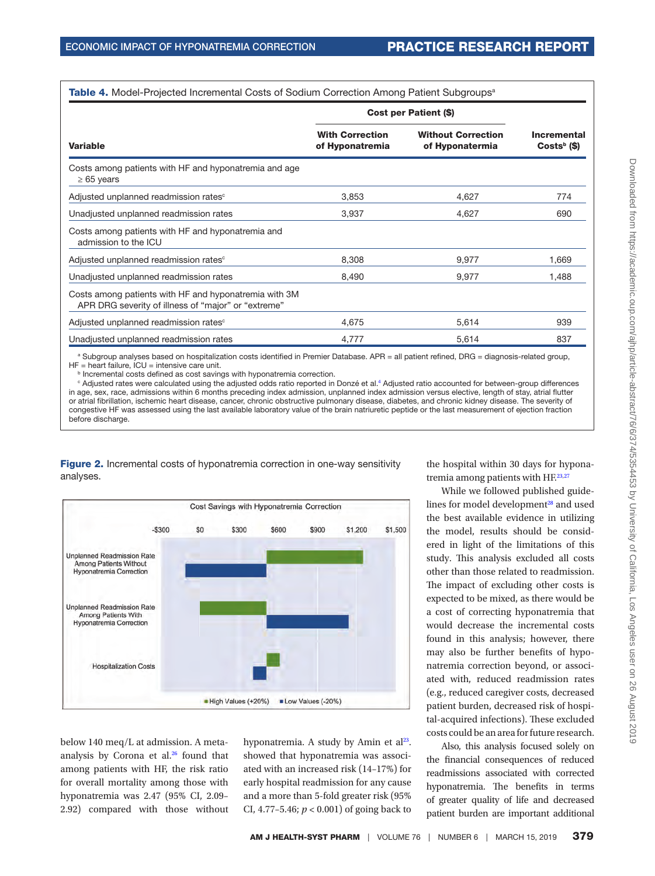<span id="page-5-0"></span>**Table 4.** Model-Projected Incremental Costs of Sodium Correction Among Patient Subgroups<sup>a</sup>

|                                                                                                              | Cost per Patient (\$)                     |                                              |                              |
|--------------------------------------------------------------------------------------------------------------|-------------------------------------------|----------------------------------------------|------------------------------|
| <b>Variable</b>                                                                                              | <b>With Correction</b><br>of Hyponatremia | <b>Without Correction</b><br>of Hyponatermia | Incremental<br>$Costsb$ (\$) |
| Costs among patients with HF and hyponatremia and age<br>$\geq 65$ years                                     |                                           |                                              |                              |
| Adjusted unplanned readmission rates <sup>c</sup>                                                            | 3.853                                     | 4,627                                        | 774                          |
| Unadjusted unplanned readmission rates                                                                       | 3,937                                     | 4,627                                        | 690                          |
| Costs among patients with HF and hyponatremia and<br>admission to the ICU                                    |                                           |                                              |                              |
| Adjusted unplanned readmission rates <sup>c</sup>                                                            | 8.308                                     | 9,977                                        | 1.669                        |
| Unadjusted unplanned readmission rates                                                                       | 8,490                                     | 9,977                                        | 1,488                        |
| Costs among patients with HF and hyponatremia with 3M<br>APR DRG severity of illness of "major" or "extreme" |                                           |                                              |                              |
| Adjusted unplanned readmission rates <sup>c</sup>                                                            | 4.675                                     | 5,614                                        | 939                          |
| Unadjusted unplanned readmission rates                                                                       | 4,777                                     | 5,614                                        | 837                          |

a Subgroup analyses based on hospitalization costs identified in Premier Database. APR = all patient refined, DRG = diagnosis-related group,  $HF =$  heart failure,  $ICU =$  intensive care unit.

**b** Incremental costs defined as cost savings with hyponatremia correction.

c Adjusted rates were calculated using the adjusted odds ratio reported in Donzé et al.[4](#page-6-12) Adjusted ratio accounted for between-group differences in age, sex, race, admissions within 6 months preceding index admission, unplanned index admission versus elective, length of stay, atrial flutter or atrial fibrillation, ischemic heart disease, cancer, chronic obstructive pulmonary disease, diabetes, and chronic kidney disease. The severity of congestive HF was assessed using the last available laboratory value of the brain natriuretic peptide or the last measurement of ejection fraction before discharge.

<span id="page-5-1"></span>**Figure 2.** Incremental costs of hyponatremia correction in one-way sensitivity analyses.



below 140 meq/L at admission. A metaanalysis by Corona et  $al.^{26}$  found that among patients with HF, the risk ratio for overall mortality among those with hyponatremia was 2.47 (95% CI, 2.09– 2.92) compared with those without hyponatremia. A study by Amin et al<sup>23</sup>. showed that hyponatremia was associated with an increased risk (14–17%) for early hospital readmission for any cause and a more than 5-fold greater risk (95% CI, 4.77–5.46; *p* < 0.001) of going back to

the hospital within 30 days for hypona-tremia among patients with HF.<sup>[23,](#page-6-14)[27](#page-6-19)</sup>

While we followed published guidelines for model development<sup>28</sup> and used the best available evidence in utilizing the model, results should be considered in light of the limitations of this study. This analysis excluded all costs other than those related to readmission. The impact of excluding other costs is expected to be mixed, as there would be a cost of correcting hyponatremia that would decrease the incremental costs found in this analysis; however, there may also be further benefits of hyponatremia correction beyond, or associated with, reduced readmission rates (e.g., reduced caregiver costs, decreased patient burden, decreased risk of hospital-acquired infections). These excluded costs could be an area for future research.

Also, this analysis focused solely on the financial consequences of reduced readmissions associated with corrected hyponatremia. The benefits in terms of greater quality of life and decreased patient burden are important additional